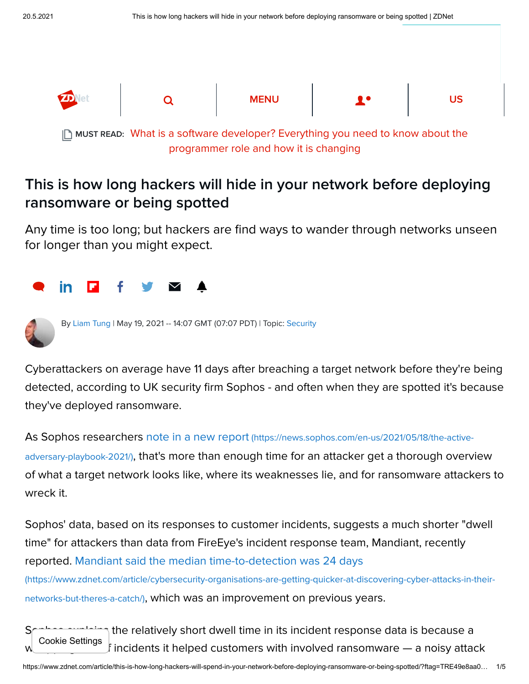

[What is a software developer? Everything you need to know about the](https://www.zdnet.com/article/what-is-a-software-developer-everything-you-need-to-know-about-the-programmer-role-and-how-it-is-changing/) MUST READ: programmer role and how it is changing

## This is how long hackers will hide in your network before deploying ransomware or being spotted

Any time is too long; but hackers are find ways to wander through networks unseen for longer than you might expect.





By [Liam Tung](https://www.zdnet.com/meet-the-team/eu/liam-tung/) | May 19, 2021 -- 14:07 GMT (07:07 PDT) | Topic: [Security](https://www.zdnet.com/topic/security/)

Cyberattackers on average have 11 days after breaching a target network before they're being detected, according to UK security firm Sophos - and often when they are spotted it's because they've deployed ransomware.

As Sophos researchers note in a new report (https://news.sophos.com/en-us/2021/05/18/the-activeadversary-playbook-2021/)[, that's more than enough time for an attacker get a thorough overvi](https://news.sophos.com/en-us/2021/05/18/the-active-adversary-playbook-2021/)ew of what a target network looks like, where its weaknesses lie, and for ransomware attackers to wreck it.

Sophos' data, based on its responses to customer incidents, suggests a much shorter "dwell time" for attackers than data from FireEye's incident response team, Mandiant, recently reported. Mandiant said the median time-to-detection was 24 days

[\(https://www.zdnet.com/article/cybersecurity-organisations-are-getting-quicker-at-discovering-cyber-attacks-in-their](https://www.zdnet.com/article/cybersecurity-organisations-are-getting-quicker-at-discovering-cyber-attacks-in-their-networks-but-theres-a-catch/)networks-but-theres-a-catch/), which was an improvement on previous years.

 $\gamma$  the relatively short dwell time in its incident response data is because a whopping 81% of incidents it helped customers with involved ransomware — a noisy attack Cookie Settings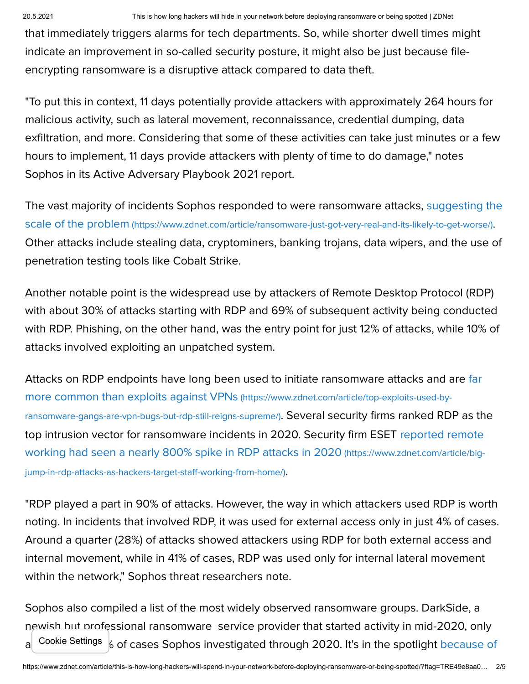that immediately triggers alarms for tech departments. So, while shorter dwell times might indicate an improvement in so-called security posture, it might also be just because fileencrypting ransomware is a disruptive attack compared to data theft.

"To put this in context, 11 days potentially provide attackers with approximately 264 hours for malicious activity, such as lateral movement, reconnaissance, credential dumping, data exfiltration, and more. Considering that some of these activities can take just minutes or a few hours to implement, 11 days provide attackers with plenty of time to do damage," notes Sophos in its Active Adversary Playbook 2021 report.

[The vast majority of incidents Sophos responded to were ransomware attacks, suggesting the](https://www.zdnet.com/article/ransomware-just-got-very-real-and-its-likely-to-get-worse/) scale of the problem (https://www.zdnet.com/article/ransomware-just-got-very-real-and-its-likely-to-get-worse/). Other attacks include stealing data, cryptominers, banking trojans, data wipers, and the use of penetration testing tools like Cobalt Strike.

Another notable point is the widespread use by attackers of Remote Desktop Protocol (RDP) with about 30% of attacks starting with RDP and 69% of subsequent activity being conducted with RDP. Phishing, on the other hand, was the entry point for just 12% of attacks, while 10% of attacks involved exploiting an unpatched system.

[Attacks on RDP endpoints have long been used to initiate ransomware attacks and are far](https://www.zdnet.com/article/top-exploits-used-by-ransomware-gangs-are-vpn-bugs-but-rdp-still-reigns-supreme/) more common than exploits against VPNs (https://www.zdnet.com/article/top-exploits-used-byransomware-gangs-are-vpn-bugs-but-rdp-still-reigns-supreme/). Several security firms ranked RDP as the [top intrusion vector for ransomware incidents in 2020. Security firm ESET reported remote](https://www.zdnet.com/article/big-jump-in-rdp-attacks-as-hackers-target-staff-working-from-home/) working had seen a nearly 800% spike in RDP attacks in 2020 (https://www.zdnet.com/article/bigjump-in-rdp-attacks-as-hackers-target-staff-working-from-home/).

"RDP played a part in 90% of attacks. However, the way in which attackers used RDP is worth noting. In incidents that involved RDP, it was used for external access only in just 4% of cases. Around a quarter (28%) of attacks showed attackers using RDP for both external access and internal movement, while in 41% of cases, RDP was used only for internal lateral movement within the network," Sophos threat researchers note.

Sophos also compiled a list of the most widely observed ransomware groups. DarkSide, a newish but professional ransomware service provider that started activity in mid-2020, only  $\alpha$  Cookie Settings  $\beta$  of cases Sophos investigated through 2020. It's in the spotlight because of